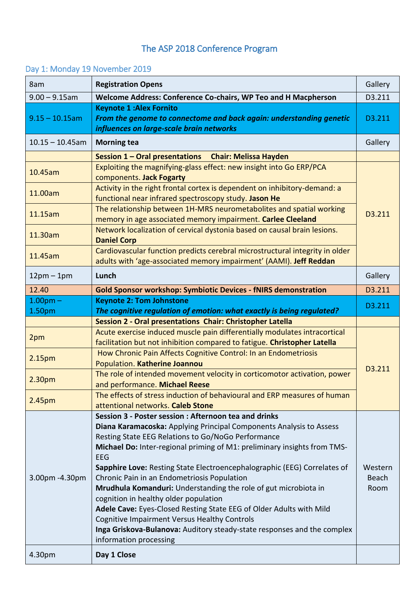## The ASP 2018 Conference Program

## Day 1: Monday 19 November 2019

| 8am                | <b>Registration Opens</b>                                                                                                                             | Gallery |
|--------------------|-------------------------------------------------------------------------------------------------------------------------------------------------------|---------|
| $9.00 - 9.15$ am   | Welcome Address: Conference Co-chairs, WP Teo and H Macpherson                                                                                        | D3.211  |
| $9.15 - 10.15$ am  | <b>Keynote 1:Alex Fornito</b><br>From the genome to connectome and back again: understanding genetic<br>influences on large-scale brain networks      | D3.211  |
| $10.15 - 10.45$ am | <b>Morning tea</b>                                                                                                                                    | Gallery |
|                    | Session 1 - Oral presentations Chair: Melissa Hayden                                                                                                  |         |
| 10.45am            | Exploiting the magnifying-glass effect: new insight into Go ERP/PCA<br>components. Jack Fogarty                                                       |         |
| 11.00am            | Activity in the right frontal cortex is dependent on inhibitory-demand: a<br>functional near infrared spectroscopy study. Jason He                    |         |
| 11.15am            | The relationship between 1H-MRS neurometabolites and spatial working<br>memory in age associated memory impairment. Carlee Cleeland                   | D3.211  |
| 11.30am            | Network localization of cervical dystonia based on causal brain lesions.<br><b>Daniel Corp</b>                                                        |         |
| 11.45am            | Cardiovascular function predicts cerebral microstructural integrity in older<br>adults with 'age-associated memory impairment' (AAMI). Jeff Reddan    |         |
| $12pm-1pm$         | Lunch                                                                                                                                                 | Gallery |
| 12.40              | <b>Gold Sponsor workshop: Symbiotic Devices - fNIRS demonstration</b>                                                                                 | D3.211  |
| $1.00pm$ -         | <b>Keynote 2: Tom Johnstone</b>                                                                                                                       | D3.211  |
| 1.50pm             | The cognitive regulation of emotion: what exactly is being regulated?                                                                                 |         |
|                    | Session 2 - Oral presentations Chair: Christopher Latella                                                                                             |         |
| 2pm                | Acute exercise induced muscle pain differentially modulates intracortical<br>facilitation but not inhibition compared to fatigue. Christopher Latella |         |
| 2.15pm             | How Chronic Pain Affects Cognitive Control: In an Endometriosis<br>Population. Katherine Joannou                                                      |         |
| 2.30pm             | The role of intended movement velocity in corticomotor activation, power<br>and performance. Michael Reese                                            | D3.211  |
| 2.45pm             | The effects of stress induction of behavioural and ERP measures of human<br>attentional networks. Caleb Stone                                         |         |
|                    | Session 3 - Poster session: Afternoon tea and drinks                                                                                                  |         |
|                    | Diana Karamacoska: Applying Principal Components Analysis to Assess                                                                                   |         |
|                    | Resting State EEG Relations to Go/NoGo Performance                                                                                                    |         |
|                    | Michael Do: Inter-regional priming of M1: preliminary insights from TMS-<br><b>EEG</b>                                                                |         |
|                    | Sapphire Love: Resting State Electroencephalographic (EEG) Correlates of                                                                              | Western |
| 3.00pm - 4.30pm    | Chronic Pain in an Endometriosis Population                                                                                                           | Beach   |
|                    | Mrudhula Komanduri: Understanding the role of gut microbiota in                                                                                       | Room    |
|                    | cognition in healthy older population                                                                                                                 |         |
|                    | Adele Cave: Eyes-Closed Resting State EEG of Older Adults with Mild                                                                                   |         |
|                    | <b>Cognitive Impairment Versus Healthy Controls</b><br>Inga Griskova-Bulanova: Auditory steady-state responses and the complex                        |         |
|                    | information processing                                                                                                                                |         |
| 4.30pm             | Day 1 Close                                                                                                                                           |         |